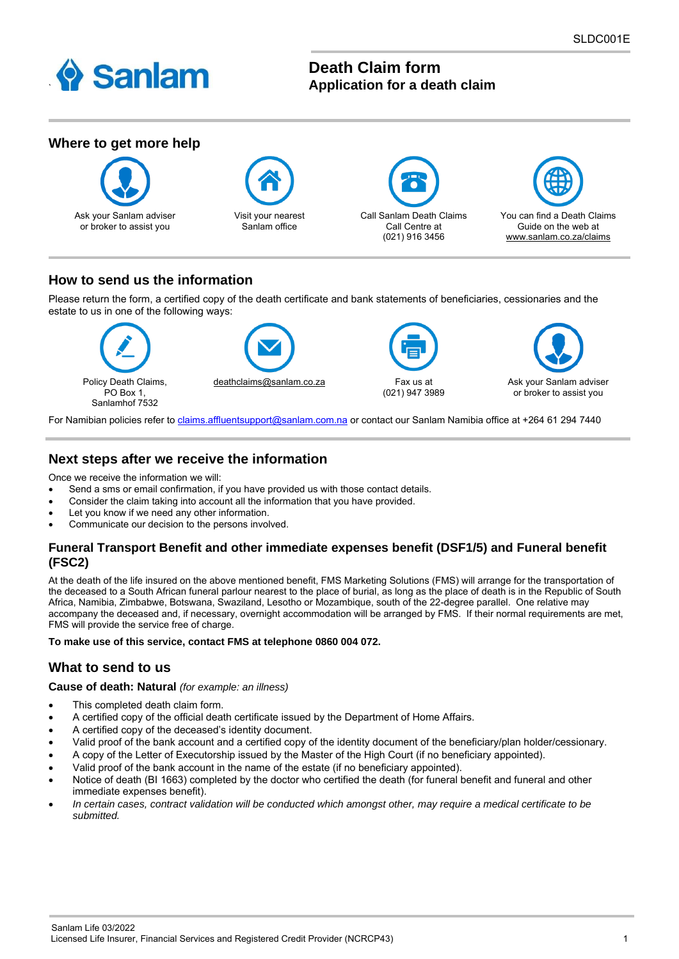

# **Death Claim form Application for a death claim**



## **How to send us the information**

Please return the form, a certified copy of the death certificate and bank statements of beneficiaries, cessionaries and the estate to us in one of the following ways:



For Namibian policies refer to [claims.affluentsupport@sanlam.com.na](mailto:claims.affluentsupport@sanlam.com.na) or contact our Sanlam Namibia office at +264 61 294 7440

## **Next steps after we receive the information**

Once we receive the information we will:

- Send a sms or email confirmation, if you have provided us with those contact details.
- Consider the claim taking into account all the information that you have provided.
- Let you know if we need any other information.
- Communicate our decision to the persons involved.

### **Funeral Transport Benefit and other immediate expenses benefit (DSF1/5) and Funeral benefit (FSC2)**

At the death of the life insured on the above mentioned benefit, FMS Marketing Solutions (FMS) will arrange for the transportation of the deceased to a South African funeral parlour nearest to the place of burial, as long as the place of death is in the Republic of South Africa, Namibia, Zimbabwe, Botswana, Swaziland, Lesotho or Mozambique, south of the 22-degree parallel. One relative may accompany the deceased and, if necessary, overnight accommodation will be arranged by FMS. If their normal requirements are met, FMS will provide the service free of charge.

**To make use of this service, contact FMS at telephone 0860 004 072.**

## **What to send to us**

#### **Cause of death: Natural** *(for example: an illness)*

- This completed death claim form.
- A certified copy of the official death certificate issued by the Department of Home Affairs.
- A certified copy of the deceased's identity document.
- Valid proof of the bank account and a certified copy of the identity document of the beneficiary/plan holder/cessionary.
- A copy of the Letter of Executorship issued by the Master of the High Court (if no beneficiary appointed).
- Valid proof of the bank account in the name of the estate (if no beneficiary appointed).
- Notice of death (BI 1663) completed by the doctor who certified the death (for funeral benefit and funeral and other immediate expenses benefit).
- *In certain cases, contract validation will be conducted which amongst other, may require a medical certificate to be submitted.*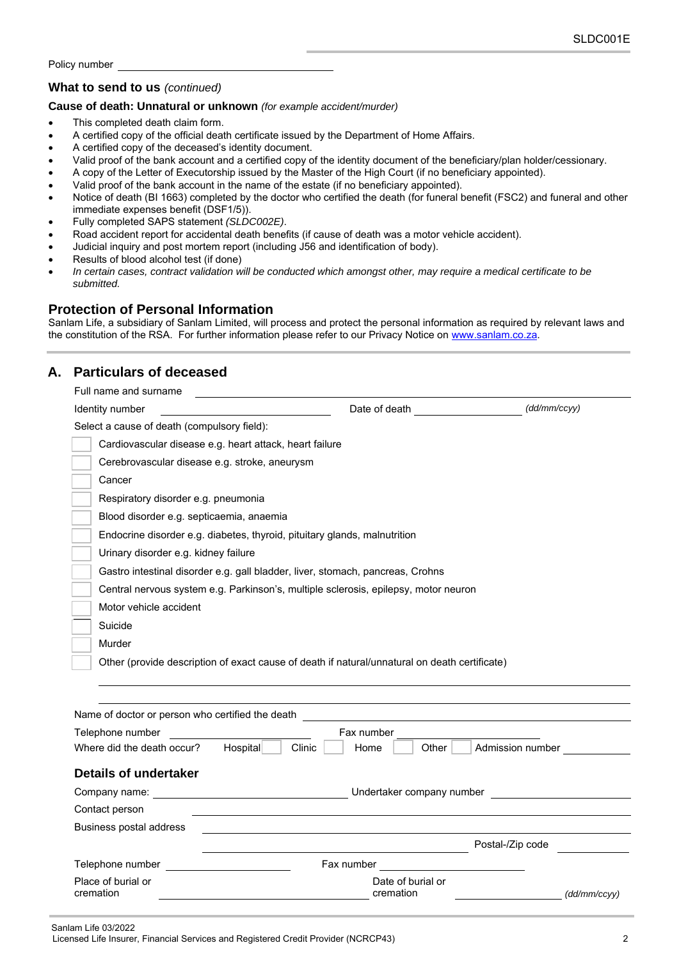### **What to send to us** *(continued)*

#### **Cause of death: Unnatural or unknown** *(for example accident/murder)*

- This completed death claim form.
- A certified copy of the official death certificate issued by the Department of Home Affairs.
- A certified copy of the deceased's identity document.
- Valid proof of the bank account and a certified copy of the identity document of the beneficiary/plan holder/cessionary.
- A copy of the Letter of Executorship issued by the Master of the High Court (if no beneficiary appointed).
- Valid proof of the bank account in the name of the estate (if no beneficiary appointed).
- Notice of death (BI 1663) completed by the doctor who certified the death (for funeral benefit (FSC2) and funeral and other immediate expenses benefit (DSF1/5)).
- Fully completed SAPS statement *(SLDC002E)*.
- Road accident report for accidental death benefits (if cause of death was a motor vehicle accident).
- Judicial inquiry and post mortem report (including J56 and identification of body).
- Results of blood alcohol test (if done)
- *In certain cases, contract validation will be conducted which amongst other, may require a medical certificate to be submitted.*

## **Protection of Personal Information**

Sanlam Life, a subsidiary of Sanlam Limited, will process and protect the personal information as required by relevant laws and the constitution of the RSA. For further information please refer to our Privacy Notice on [www.sanlam.co.za.](http://www.sanlam.co.za/)

## **A. Particulars of deceased**

| Full name and surname                                                                         |                                |                  |  |  |  |  |  |
|-----------------------------------------------------------------------------------------------|--------------------------------|------------------|--|--|--|--|--|
| Identity number                                                                               | Date of death                  | (dd/mm/ccyy)     |  |  |  |  |  |
| Select a cause of death (compulsory field):                                                   |                                |                  |  |  |  |  |  |
| Cardiovascular disease e.g. heart attack, heart failure                                       |                                |                  |  |  |  |  |  |
| Cerebrovascular disease e.g. stroke, aneurysm                                                 |                                |                  |  |  |  |  |  |
| Cancer                                                                                        |                                |                  |  |  |  |  |  |
| Respiratory disorder e.g. pneumonia                                                           |                                |                  |  |  |  |  |  |
| Blood disorder e.g. septicaemia, anaemia                                                      |                                |                  |  |  |  |  |  |
| Endocrine disorder e.g. diabetes, thyroid, pituitary glands, malnutrition                     |                                |                  |  |  |  |  |  |
| Urinary disorder e.g. kidney failure                                                          |                                |                  |  |  |  |  |  |
| Gastro intestinal disorder e.g. gall bladder, liver, stomach, pancreas, Crohns                |                                |                  |  |  |  |  |  |
| Central nervous system e.g. Parkinson's, multiple sclerosis, epilepsy, motor neuron           |                                |                  |  |  |  |  |  |
| Motor vehicle accident                                                                        |                                |                  |  |  |  |  |  |
| Suicide                                                                                       |                                |                  |  |  |  |  |  |
| Murder                                                                                        |                                |                  |  |  |  |  |  |
| Other (provide description of exact cause of death if natural/unnatural on death certificate) |                                |                  |  |  |  |  |  |
|                                                                                               |                                |                  |  |  |  |  |  |
|                                                                                               |                                |                  |  |  |  |  |  |
| Name of doctor or person who certified the death                                              |                                |                  |  |  |  |  |  |
| Telephone number                                                                              | Fax number                     |                  |  |  |  |  |  |
| Where did the death occur?<br>Clinic<br>Hospital                                              | Home<br>Other                  | Admission number |  |  |  |  |  |
| <b>Details of undertaker</b>                                                                  |                                |                  |  |  |  |  |  |
| Company name:                                                                                 | Undertaker company number      |                  |  |  |  |  |  |
| Contact person                                                                                |                                |                  |  |  |  |  |  |
| Business postal address                                                                       |                                |                  |  |  |  |  |  |
|                                                                                               | Postal-/Zip code               |                  |  |  |  |  |  |
| Telephone number                                                                              | Fax number                     |                  |  |  |  |  |  |
| Place of burial or<br>cremation                                                               | Date of burial or<br>cremation | (dd/mm/ccvv)     |  |  |  |  |  |

Licensed Life Insurer, Financial Services and Registered Credit Provider (NCRCP43) 2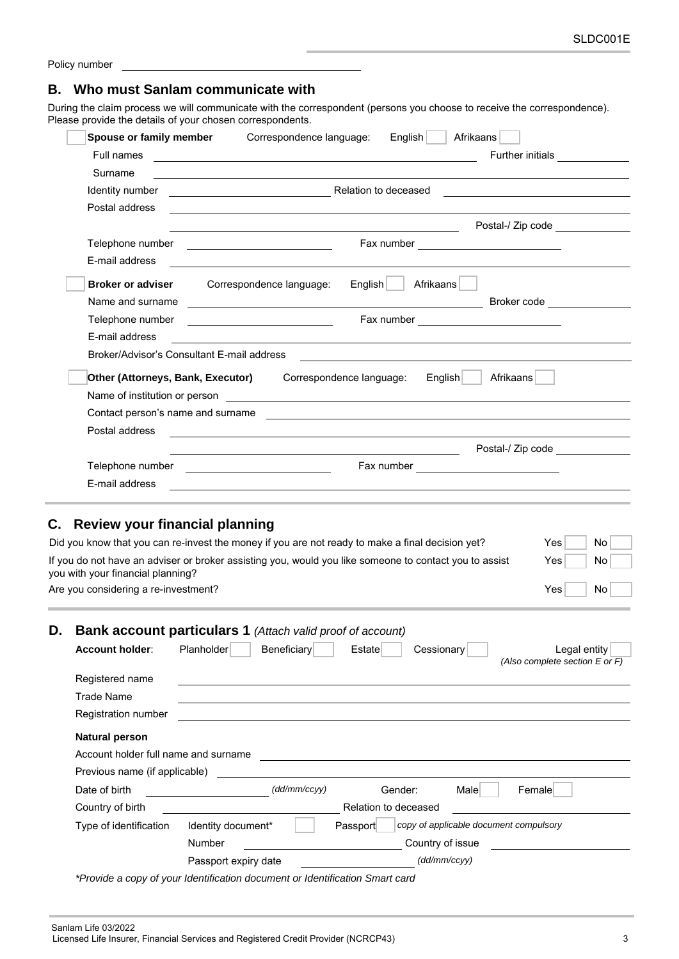|  | Policy number |
|--|---------------|
|--|---------------|

### **B. Who must Sanlam communicate with**

During the claim process we will communicate with the correspondent (persons you choose to receive the correspondence). Please provide the details of your chosen correspondents.

|    | Spouse or family member               | English<br>Afrikaans<br>Correspondence language:                                                                       |                                                |
|----|---------------------------------------|------------------------------------------------------------------------------------------------------------------------|------------------------------------------------|
|    | <b>Full names</b>                     | <u> 1989 - Johann Barn, mars ann an t-Amhain ann an t-Amhain an t-Amhain an t-Amhain an t-Amhain an t-Amhain an t-</u> | Further initials _____________                 |
|    | Surname                               | and the control of the control of the control of the control of the control of the control of the control of the       |                                                |
|    | Identity number                       | Relation to deceased                                                                                                   |                                                |
|    | Postal address                        |                                                                                                                        |                                                |
|    |                                       | <u> 1980 - Johann Barn, fransk politik (d. 1980)</u>                                                                   | Postal-/ Zip code                              |
|    |                                       |                                                                                                                        |                                                |
|    | E-mail address                        | <u> 1989 - Johann Stoff, amerikansk politiker (d. 1989)</u>                                                            |                                                |
|    | <b>Broker or adviser</b>              | Afrikaans<br>Correspondence language:<br>$English$                                                                     |                                                |
|    | Name and surname                      |                                                                                                                        | Broker code <u>_____________</u>               |
|    | Telephone number                      |                                                                                                                        |                                                |
|    | E-mail address                        |                                                                                                                        |                                                |
|    |                                       | Broker/Advisor's Consultant E-mail address                                                                             |                                                |
|    | Other (Attorneys, Bank, Executor)     | Correspondence language:<br>English∣<br>Afrikaans                                                                      |                                                |
|    |                                       |                                                                                                                        |                                                |
|    |                                       |                                                                                                                        |                                                |
|    | Postal address                        |                                                                                                                        |                                                |
|    |                                       |                                                                                                                        | Postal-/ Zip code                              |
|    |                                       | Telephone number _____________________________                                                                         |                                                |
|    | E-mail address                        | and the control of the control of the control of the control of the control of the control of the control of the       |                                                |
|    |                                       |                                                                                                                        |                                                |
|    |                                       |                                                                                                                        |                                                |
| С. | <b>Review your financial planning</b> |                                                                                                                        |                                                |
|    |                                       | Did you know that you can re-invest the money if you are not ready to make a final decision yet?                       | No<br>Yes                                      |
|    | you with your financial planning?     | If you do not have an adviser or broker assisting you, would you like someone to contact you to assist                 | Yes<br>No                                      |
|    | Are you considering a re-investment?  |                                                                                                                        | Yes<br>No                                      |
|    |                                       |                                                                                                                        |                                                |
| D. |                                       | Bank account particulars 1 (Attach valid proof of account)                                                             |                                                |
|    | Account holder:                       | Planholder<br>Cessionary<br>Beneficiary<br>Estate                                                                      | Legal entity                                   |
|    |                                       |                                                                                                                        | (Also complete section $E$ or $\overline{F}$ ) |
|    | Registered name                       |                                                                                                                        |                                                |
|    | <b>Trade Name</b>                     |                                                                                                                        |                                                |
|    | Registration number                   |                                                                                                                        |                                                |
|    |                                       |                                                                                                                        |                                                |
|    | <b>Natural person</b>                 |                                                                                                                        |                                                |
|    | Account holder full name and surname  |                                                                                                                        |                                                |

| Previous name (if applicable) |                      |                                                    |                      |                  |              |        |
|-------------------------------|----------------------|----------------------------------------------------|----------------------|------------------|--------------|--------|
| Date of birth                 |                      | (dd/mm/ccyy)                                       |                      | Gender:          | Male         | Female |
| Country of birth              |                      |                                                    | Relation to deceased |                  |              |        |
| Type of identification        | Identity document*   | copy of applicable document compulsory<br>Passport |                      |                  |              |        |
|                               | Number               |                                                    |                      | Country of issue |              |        |
|                               | Passport expiry date |                                                    |                      |                  | (dd/mm/ccyy) |        |
|                               |                      |                                                    |                      |                  |              |        |

*\*Provide a copy of your Identification document or Identification Smart card*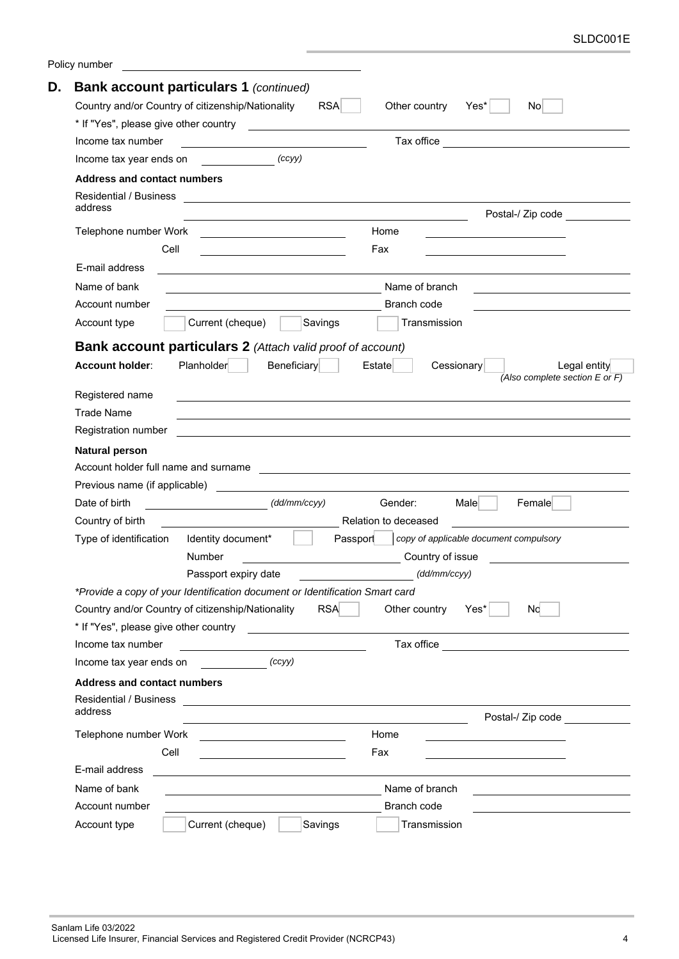| Policy number                                                                                                                                                                                                                                                                                                                                                                                                                |                                                                                                                                                                                                                                      |
|------------------------------------------------------------------------------------------------------------------------------------------------------------------------------------------------------------------------------------------------------------------------------------------------------------------------------------------------------------------------------------------------------------------------------|--------------------------------------------------------------------------------------------------------------------------------------------------------------------------------------------------------------------------------------|
| <b>Bank account particulars 1 (continued)</b>                                                                                                                                                                                                                                                                                                                                                                                |                                                                                                                                                                                                                                      |
| Country and/or Country of citizenship/Nationality                                                                                                                                                                                                                                                                                                                                                                            | <b>RSA</b><br>Other country<br>Yes*<br>No                                                                                                                                                                                            |
|                                                                                                                                                                                                                                                                                                                                                                                                                              |                                                                                                                                                                                                                                      |
| Income tax number                                                                                                                                                                                                                                                                                                                                                                                                            | Tax office <b>Contract Contract Contract Contract Contract Contract Contract Contract Contract Contract Contract Contract Contract Contract Contract Contract Contract Contract Contract Contract Contract Contract Contract Con</b> |
| $\overline{\qquad \qquad }$ $\qquad \qquad (ccyy)$<br>Income tax year ends on                                                                                                                                                                                                                                                                                                                                                |                                                                                                                                                                                                                                      |
| <b>Address and contact numbers</b>                                                                                                                                                                                                                                                                                                                                                                                           |                                                                                                                                                                                                                                      |
| Residential / Business                                                                                                                                                                                                                                                                                                                                                                                                       |                                                                                                                                                                                                                                      |
| address                                                                                                                                                                                                                                                                                                                                                                                                                      | Postal-/ Zip code                                                                                                                                                                                                                    |
| Telephone number Work                                                                                                                                                                                                                                                                                                                                                                                                        | Home                                                                                                                                                                                                                                 |
| Cell                                                                                                                                                                                                                                                                                                                                                                                                                         | Fax                                                                                                                                                                                                                                  |
| E-mail address                                                                                                                                                                                                                                                                                                                                                                                                               |                                                                                                                                                                                                                                      |
| Name of bank                                                                                                                                                                                                                                                                                                                                                                                                                 | Name of branch                                                                                                                                                                                                                       |
| Account number                                                                                                                                                                                                                                                                                                                                                                                                               | Branch code                                                                                                                                                                                                                          |
| Current (cheque)<br>Account type<br>Savings                                                                                                                                                                                                                                                                                                                                                                                  | Transmission                                                                                                                                                                                                                         |
|                                                                                                                                                                                                                                                                                                                                                                                                                              |                                                                                                                                                                                                                                      |
| Bank account particulars 2 (Attach valid proof of account)                                                                                                                                                                                                                                                                                                                                                                   |                                                                                                                                                                                                                                      |
| Planholder<br>Beneficiary<br><b>Account holder:</b>                                                                                                                                                                                                                                                                                                                                                                          | Estate<br>Cessionary<br>Legal entity<br>(Also complete section E or F)                                                                                                                                                               |
| Registered name                                                                                                                                                                                                                                                                                                                                                                                                              |                                                                                                                                                                                                                                      |
| <b>Trade Name</b>                                                                                                                                                                                                                                                                                                                                                                                                            |                                                                                                                                                                                                                                      |
| Registration number                                                                                                                                                                                                                                                                                                                                                                                                          |                                                                                                                                                                                                                                      |
| <b>Natural person</b>                                                                                                                                                                                                                                                                                                                                                                                                        |                                                                                                                                                                                                                                      |
| Account holder full name and surname                                                                                                                                                                                                                                                                                                                                                                                         |                                                                                                                                                                                                                                      |
| Previous name (if applicable)                                                                                                                                                                                                                                                                                                                                                                                                |                                                                                                                                                                                                                                      |
| $\overline{\qquad \qquad }$ $\qquad \qquad$ $\qquad \qquad$ $\qquad \qquad$ $\qquad \qquad$ $\qquad \qquad$ $\qquad \qquad$ $\qquad \qquad$ $\qquad \qquad$ $\qquad \qquad$ $\qquad \qquad$ $\qquad \qquad$ $\qquad \qquad$ $\qquad \qquad$ $\qquad \qquad$ $\qquad \qquad$ $\qquad \qquad$ $\qquad \qquad$ $\qquad \qquad$ $\qquad \qquad$ $\qquad \qquad$ $\qquad \qquad$ $\qquad \qquad$ $\qquad \qquad$<br>Date of birth | Gender:<br>Male<br>Female                                                                                                                                                                                                            |
| Country of birth                                                                                                                                                                                                                                                                                                                                                                                                             | Relation to deceased                                                                                                                                                                                                                 |
| Type of identification<br>Identity document*                                                                                                                                                                                                                                                                                                                                                                                 | copy of applicable document compulsory<br>Passport                                                                                                                                                                                   |
| Number                                                                                                                                                                                                                                                                                                                                                                                                                       | Country of issue                                                                                                                                                                                                                     |
| Passport expiry date                                                                                                                                                                                                                                                                                                                                                                                                         | (dd/mm/ccyy)                                                                                                                                                                                                                         |
| *Provide a copy of your Identification document or Identification Smart card                                                                                                                                                                                                                                                                                                                                                 |                                                                                                                                                                                                                                      |
| Country and/or Country of citizenship/Nationality                                                                                                                                                                                                                                                                                                                                                                            | <b>RSA</b><br>Other country<br>Yes*<br>Nc.                                                                                                                                                                                           |
| * If "Yes", please give other country                                                                                                                                                                                                                                                                                                                                                                                        |                                                                                                                                                                                                                                      |
| Income tax number                                                                                                                                                                                                                                                                                                                                                                                                            | <u> Alexandria de la contrada de la contrada de la contrada de la contrada de la contrada de la contrada de la c</u><br>Tax office <u>________________________________</u>                                                           |
| (ccyy)<br>Income tax year ends on                                                                                                                                                                                                                                                                                                                                                                                            |                                                                                                                                                                                                                                      |
| <b>Address and contact numbers</b>                                                                                                                                                                                                                                                                                                                                                                                           |                                                                                                                                                                                                                                      |
|                                                                                                                                                                                                                                                                                                                                                                                                                              |                                                                                                                                                                                                                                      |
| address                                                                                                                                                                                                                                                                                                                                                                                                                      |                                                                                                                                                                                                                                      |
|                                                                                                                                                                                                                                                                                                                                                                                                                              | Postal-/ Zip code<br>Home                                                                                                                                                                                                            |
| Telephone number Work<br><u> 1999 - Johann Stein, mars and de Britannich (b. 19</u><br>Cell                                                                                                                                                                                                                                                                                                                                  | Fax                                                                                                                                                                                                                                  |
| <u> 1989 - Johann Barbara, martin a</u><br>E-mail address                                                                                                                                                                                                                                                                                                                                                                    |                                                                                                                                                                                                                                      |
| Name of bank                                                                                                                                                                                                                                                                                                                                                                                                                 |                                                                                                                                                                                                                                      |
|                                                                                                                                                                                                                                                                                                                                                                                                                              | Name of branch                                                                                                                                                                                                                       |
| Account number                                                                                                                                                                                                                                                                                                                                                                                                               | Branch code                                                                                                                                                                                                                          |
| Current (cheque)<br>Savings<br>Account type                                                                                                                                                                                                                                                                                                                                                                                  | Transmission                                                                                                                                                                                                                         |